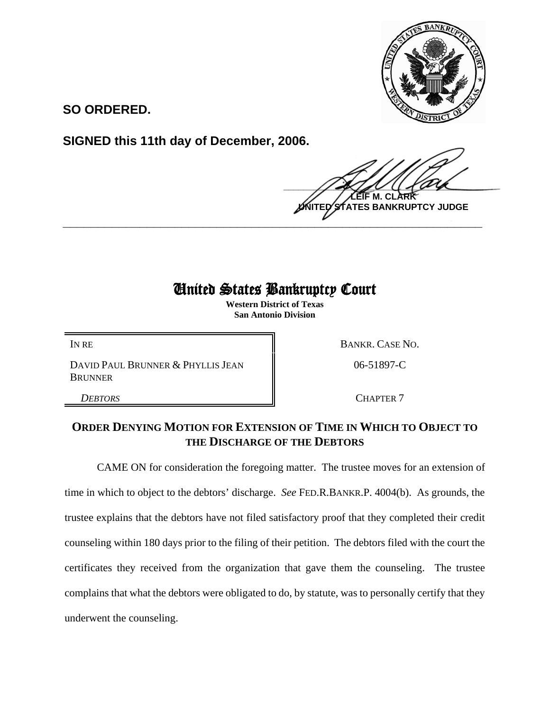

**SO ORDERED.**

**SIGNED this 11th day of December, 2006.**

 $\frac{1}{2}$ **M. ES BANKRUPTCY JUDGE \_\_\_\_\_\_\_\_\_\_\_\_\_\_\_\_\_\_\_\_\_\_\_\_\_\_\_\_\_\_\_\_\_\_\_\_\_\_\_\_\_\_\_\_\_\_\_\_\_\_\_\_\_\_\_\_\_\_\_\_**

## United States Bankruptcy Court

**Western District of Texas San Antonio Division**

DAVID PAUL BRUNNER & PHYLLIS JEAN **BRUNNER** 

IN RE BANKR. CASE NO.

06-51897-C

**DEBTORS** CHAPTER 7

## **ORDER DENYING MOTION FOR EXTENSION OF TIME IN WHICH TO OBJECT TO THE DISCHARGE OF THE DEBTORS**

CAME ON for consideration the foregoing matter. The trustee moves for an extension of time in which to object to the debtors' discharge. *See* FED.R.BANKR.P. 4004(b). As grounds, the trustee explains that the debtors have not filed satisfactory proof that they completed their credit counseling within 180 days prior to the filing of their petition. The debtors filed with the court the certificates they received from the organization that gave them the counseling. The trustee complains that what the debtors were obligated to do, by statute, was to personally certify that they underwent the counseling.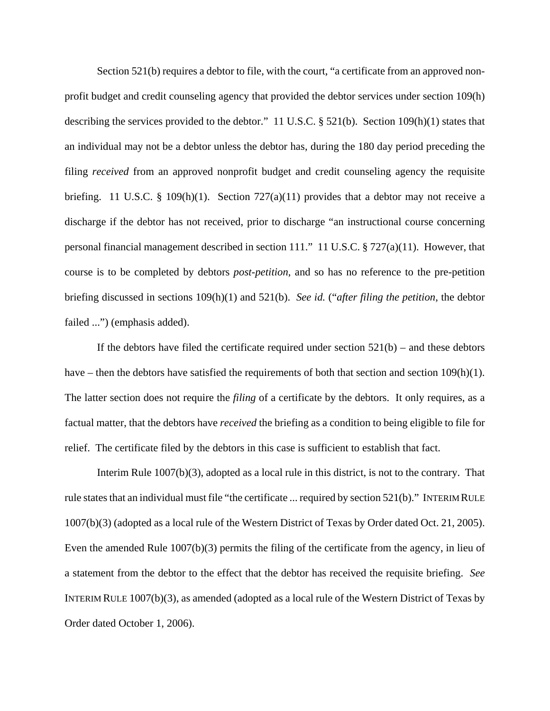Section 521(b) requires a debtor to file, with the court, "a certificate from an approved nonprofit budget and credit counseling agency that provided the debtor services under section 109(h) describing the services provided to the debtor." 11 U.S.C.  $\S 521(b)$ . Section 109(h)(1) states that an individual may not be a debtor unless the debtor has, during the 180 day period preceding the filing *received* from an approved nonprofit budget and credit counseling agency the requisite briefing. 11 U.S.C. § 109(h)(1). Section  $727(a)(11)$  provides that a debtor may not receive a discharge if the debtor has not received, prior to discharge "an instructional course concerning personal financial management described in section 111." 11 U.S.C. § 727(a)(11). However, that course is to be completed by debtors *post-petition*, and so has no reference to the pre-petition briefing discussed in sections 109(h)(1) and 521(b). *See id.* ("*after filing the petition*, the debtor failed ...") (emphasis added).

If the debtors have filed the certificate required under section  $521(b)$  – and these debtors have – then the debtors have satisfied the requirements of both that section and section 109(h)(1). The latter section does not require the *filing* of a certificate by the debtors. It only requires, as a factual matter, that the debtors have *received* the briefing as a condition to being eligible to file for relief. The certificate filed by the debtors in this case is sufficient to establish that fact.

Interim Rule 1007(b)(3), adopted as a local rule in this district, is not to the contrary. That rule states that an individual must file "the certificate ... required by section 521(b)." INTERIM RULE 1007(b)(3) (adopted as a local rule of the Western District of Texas by Order dated Oct. 21, 2005). Even the amended Rule 1007(b)(3) permits the filing of the certificate from the agency, in lieu of a statement from the debtor to the effect that the debtor has received the requisite briefing. *See* INTERIM RULE 1007(b)(3), as amended (adopted as a local rule of the Western District of Texas by Order dated October 1, 2006).